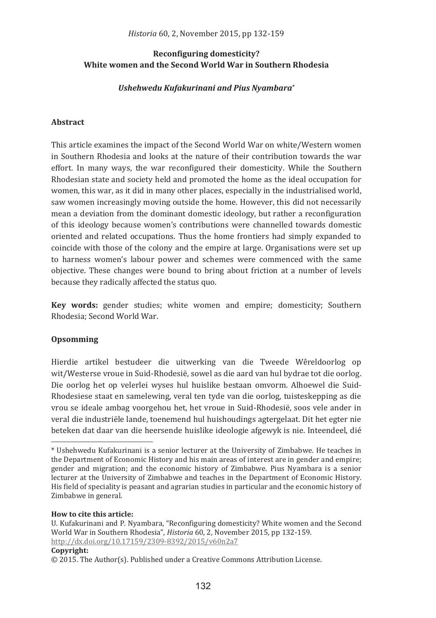# Reconfiguring domesticity? White women and the Second World War in Southern Rhodesia

# Ushehwedu Kufakurinani and Pius Nyambara\*

# **Abstract**

This article examines the impact of the Second World War on white/Western women in Southern Rhodesia and looks at the nature of their contribution towards the war effort. In many ways, the war reconfigured their domesticity. While the Southern Rhodesian state and society held and promoted the home as the ideal occupation for women, this war, as it did in many other places, especially in the industrialised world, saw women increasingly moving outside the home. However, this did not necessarily mean a deviation from the dominant domestic ideology, but rather a reconfiguration of this ideology because women's contributions were channelled towards domestic oriented and related occupations. Thus the home frontiers had simply expanded to coincide with those of the colony and the empire at large. Organisations were set up to harness women's labour power and schemes were commenced with the same objective. These changes were bound to bring about friction at a number of levels because they radically affected the status quo.

Key words: gender studies: white women and empire: domesticity: Southern Rhodesia: Second World War.

# Opsomming

Hierdie artikel bestudeer die uitwerking van die Tweede Wêreldoorlog op wit/Westerse vroue in Suid-Rhodesië, sowel as die aard van hul bydrae tot die oorlog. Die oorlog het op velerlei wyses hul huislike bestaan omvorm. Alhoewel die Suid-Rhodesiese staat en samelewing, veral ten tyde van die oorlog, tuisteskepping as die vrou se ideale ambag voorgehou het, het vroue in Suid-Rhodesië, soos vele ander in veral die industriële lande, toenemend hul huishoudings agtergelaat. Dit het egter nie beteken dat daar van die heersende huislike ideologie afgewyk is nie. Inteendeel, dié

#### How to cite this article.

#### Copyright:

<sup>\*</sup> Ushehwedu Kufakurinani is a senior lecturer at the University of Zimbabwe. He teaches in the Department of Economic History and his main areas of interest are in gender and empire; gender and migration: and the economic history of Zimbabwe. Pius Nyambara is a senior lecturer at the University of Zimbabwe and teaches in the Department of Economic History. His field of speciality is peasant and agrarian studies in particular and the economic history of Zimbabwe in general.

U. Kufakurinani and P. Nyambara, "Reconfiguring domesticity? White women and the Second World War in Southern Rhodesia". Historia 60, 2. November 2015, pp 132-159. http://dx.doi.org/10.17159/2309-8392/2015/v60n2a7

 $\odot$  2015. The Author(s). Published under a Creative Commons Attribution License.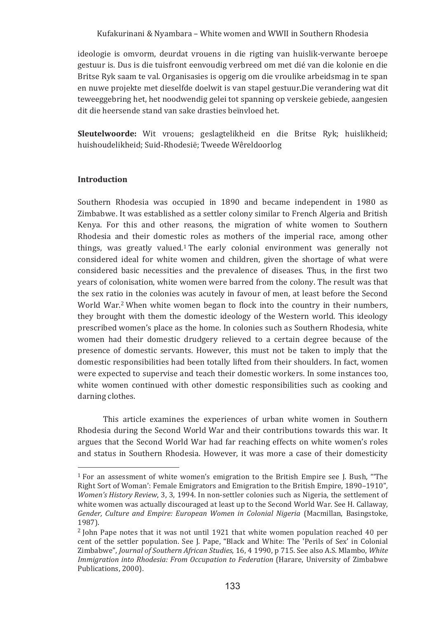ideologie is omvorm, deurdat vrouens in die rigting van huislik-verwante beroepe gestuur is. Dus is die tuisfront eenvoudig verbreed om met dié van die kolonie en die Britse Ryk saam te val. Organisasies is opgerig om die vroulike arbeidsmag in te span en nuwe projekte met dieselfde doelwit is van stapel gestuur. Die verandering wat dit teweeggebring het, het noodwendig gelei tot spanning op verskeie gebiede, aangesien dit die heersende stand van sake drasties beïnvloed het.

Sleutelwoorde: Wit vrouens: geslagtelikheid en die Britse Ryk: huislikheid: huishoudelikheid; Suid-Rhodesië; Tweede Wêreldoorlog

# **Introduction**

Southern Rhodesia was occupied in 1890 and became independent in 1980 as Zimbabwe. It was established as a settler colony similar to French Algeria and British Kenya. For this and other reasons, the migration of white women to Southern Rhodesia and their domestic roles as mothers of the imperial race, among other things, was greatly valued.<sup>1</sup> The early colonial environment was generally not considered ideal for white women and children, given the shortage of what were considered basic necessities and the prevalence of diseases. Thus, in the first two years of colonisation, white women were barred from the colony. The result was that the sex ratio in the colonies was acutely in favour of men, at least before the Second World War.<sup>2</sup> When white women began to flock into the country in their numbers, they brought with them the domestic ideology of the Western world. This ideology prescribed women's place as the home. In colonies such as Southern Rhodesia, white women had their domestic drudgery relieved to a certain degree because of the presence of domestic servants. However, this must not be taken to imply that the domestic responsibilities had been totally lifted from their shoulders. In fact, women were expected to supervise and teach their domestic workers. In some instances too, white women continued with other domestic responsibilities such as cooking and darning clothes.

This article examines the experiences of urban white women in Southern Rhodesia during the Second World War and their contributions towards this war. It argues that the Second World War had far reaching effects on white women's roles and status in Southern Rhodesia. However, it was more a case of their domesticity

 $1$  For an assessment of white women's emigration to the British Empire see J. Bush, "The Right Sort of Woman': Female Emigrators and Emigration to the British Empire, 1890–1910". Women's History Review, 3, 3, 1994. In non-settler colonies such as Nigeria, the settlement of white women was actually discouraged at least up to the Second World War. See H. Callaway, Gender, Culture and Empire: European Women in Colonial Nigeria (Macmillan, Basingstoke, 1987).

 $2$  John Pape notes that it was not until 1921 that white women population reached 40 per cent of the settler population. See J. Pape, "Black and White: The 'Perils of Sex' in Colonial Zimbabwe", Journal of Southern African Studies, 16, 4 1990, p 715. See also A.S. Mlambo, White Immigration into Rhodesia: From Occupation to Federation (Harare, University of Zimbabwe Publications, 2000).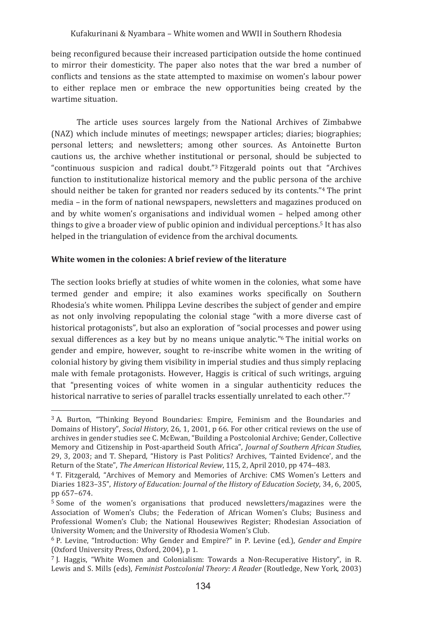being reconfigured because their increased participation outside the home continued to mirror their domesticity. The paper also notes that the war bred a number of conflicts and tensions as the state attempted to maximise on women's labour power to either replace men or embrace the new opportunities being created by the wartime situation.

The article uses sources largely from the National Archives of Zimbabwe (NAZ) which include minutes of meetings; newspaper articles; diaries; biographies; personal letters; and newsletters; among other sources. As Antoinette Burton cautions us, the archive whether institutional or personal, should be subjected to "continuous suspicion and radical doubt."<sup>3</sup> Fitzgerald points out that "Archives" function to institutionalize historical memory and the public persona of the archive should neither be taken for granted nor readers seduced by its contents."4 The print media – in the form of national newspapers, newsletters and magazines produced on and by white women's organisations and individual women - helped among other things to give a broader view of public opinion and individual perceptions.<sup>5</sup> It has also helped in the triangulation of evidence from the archival documents.

# White women in the colonies: A brief review of the literature

The section looks briefly at studies of white women in the colonies, what some have termed gender and empire; it also examines works specifically on Southern Rhodesia's white women. Philippa Levine describes the subject of gender and empire as not only involving repopulating the colonial stage "with a more diverse cast of historical protagonists", but also an exploration of "social processes and power using sexual differences as a key but by no means unique analytic."<sup>6</sup> The initial works on gender and empire, however, sought to re-inscribe white women in the writing of colonial history by giving them visibility in imperial studies and thus simply replacing male with female protagonists. However, Haggis is critical of such writings, arguing that "presenting voices of white women in a singular authenticity reduces the historical narrative to series of parallel tracks essentially unrelated to each other."7

<sup>&</sup>lt;sup>3</sup> A. Burton, "Thinking Beyond Boundaries: Empire, Feminism and the Boundaries and Domains of History", Social History, 26, 1, 2001, p 66. For other critical reviews on the use of archives in gender studies see C. McEwan, "Building a Postcolonial Archive; Gender, Collective Memory and Citizenship in Post-apartheid South Africa", Journal of Southern African Studies, 29. 3. 2003: and T. Shepard. "History is Past Politics? Archives. "Tainted Evidence', and the Return of the State", The American Historical Review, 115, 2, April 2010, pp 474-483.

<sup>&</sup>lt;sup>4</sup> T. Fitzgerald, "Archives of Memory and Memories of Archive: CMS Women's Letters and Diaries 1823-35", History of Education: Journal of the History of Education Society, 34, 6, 2005, pp 657-674.

 $5$  Some of the women's organisations that produced newsletters/magazines were the Association of Women's Clubs: the Federation of African Women's Clubs: Business and Professional Women's Club; the National Housewives Register; Rhodesian Association of University Women; and the University of Rhodesia Women's Club.

<sup>&</sup>lt;sup>6</sup> P. Levine, "Introduction: Why Gender and Empire?" in P. Levine (ed.), Gender and Empire (Oxford University Press, Oxford, 2004), p 1.

 $\frac{7}{1}$ . Haggis, "White Women and Colonialism: Towards a Non-Recuperative History", in R. Lewis and S. Mills (eds), Feminist Postcolonial Theory: A Reader (Routledge, New York, 2003)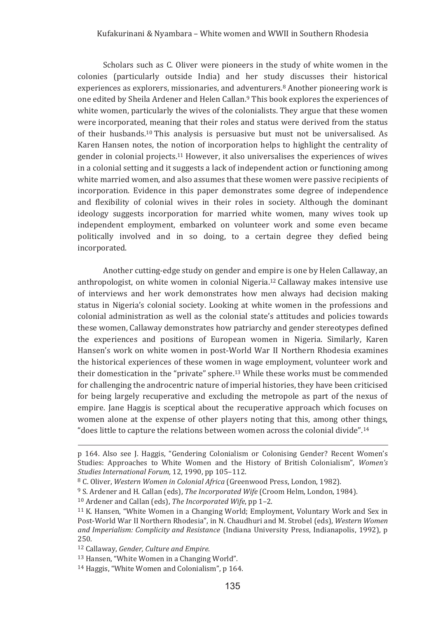Scholars such as C. Oliver were pioneers in the study of white women in the colonies (particularly outside India) and her study discusses their historical experiences as explorers, missionaries, and adventurers,<sup>8</sup> Another pioneering work is one edited by Sheila Ardener and Helen Callan.<sup>9</sup> This book explores the experiences of white women, particularly the wives of the colonialists. They argue that these women were incorporated, meaning that their roles and status were derived from the status of their husbands.<sup>10</sup> This analysis is persuasive but must not be universalised. As Karen Hansen notes, the notion of incorporation helps to highlight the centrality of gender in colonial projects.<sup>11</sup> However, it also universalises the experiences of wives in a colonial setting and it suggests a lack of independent action or functioning among white married women, and also assumes that these women were passive recipients of incorporation. Evidence in this paper demonstrates some degree of independence and flexibility of colonial wives in their roles in society. Although the dominant ideology suggests incorporation for married white women, many wives took up independent employment, embarked on volunteer work and some even became politically involved and in so doing, to a certain degree they defied being incorporated.

Another cutting-edge study on gender and empire is one by Helen Callaway, an anthropologist, on white women in colonial Nigeria.<sup>12</sup> Callaway makes intensive use of interviews and her work demonstrates how men always had decision making status in Nigeria's colonial society. Looking at white women in the professions and colonial administration as well as the colonial state's attitudes and policies towards these women, Callaway demonstrates how patriarchy and gender stereotypes defined the experiences and positions of European women in Nigeria, Similarly, Karen Hansen's work on white women in post-World War II Northern Rhodesia examines the historical experiences of these women in wage employment, volunteer work and their domestication in the "private" sphere.<sup>13</sup> While these works must be commended for challenging the androcentric nature of imperial histories, they have been criticised for being largely recuperative and excluding the metropole as part of the nexus of empire. Iane Haggis is sceptical about the recuperative approach which focuses on women alone at the expense of other players noting that this, among other things, "does little to capture the relations between women across the colonial divide".<sup>14</sup>

p 164. Also see J. Haggis, "Gendering Colonialism or Colonising Gender? Recent Women's Studies: Approaches to White Women and the History of British Colonialism", Women's Studies International Forum, 12, 1990, pp 105-112.

<sup>&</sup>lt;sup>8</sup> C. Oliver, *Western Women in Colonial Africa* (Greenwood Press, London, 1982).

<sup>&</sup>lt;sup>9</sup> S. Ardener and H. Callan (eds), *The Incorporated Wife* (Croom Helm, London, 1984).

<sup>&</sup>lt;sup>10</sup> Ardener and Callan (eds), *The Incorporated Wife*, pp 1-2.

<sup>&</sup>lt;sup>11</sup> K. Hansen, "White Women in a Changing World; Employment, Voluntary Work and Sex in Post-World War II Northern Rhodesia", in N. Chaudhuri and M. Strobel (eds). Western Women and Imperialism: Complicity and Resistance (Indiana University Press, Indianapolis, 1992), p 250.

<sup>&</sup>lt;sup>12</sup> Callaway, Gender, Culture and Empire.

<sup>&</sup>lt;sup>13</sup> Hansen, "White Women in a Changing World".

<sup>&</sup>lt;sup>14</sup> Haggis, "White Women and Colonialism", p 164.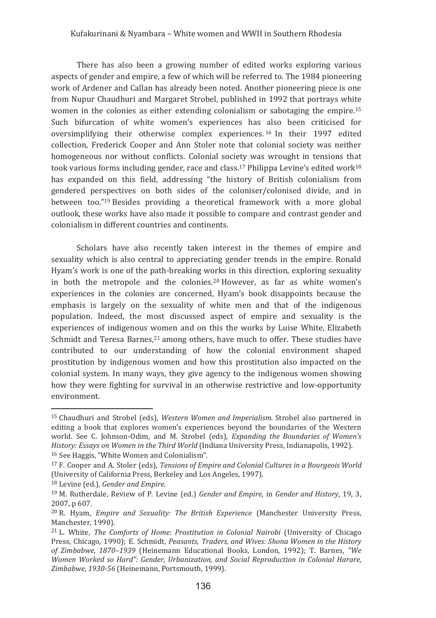There has also been a growing number of edited works exploring various aspects of gender and empire, a few of which will be referred to. The 1984 pioneering work of Ardener and Callan has already been noted. Another pioneering piece is one from Nupur Chaudhuri and Margaret Strobel, published in 1992 that portrays white women in the colonies as either extending colonialism or sabotaging the empire.<sup>15</sup> Such bifurcation of white women's experiences has also been criticised for oversimplifying their otherwise complex experiences.<sup>16</sup> In their 1997 edited collection, Frederick Cooper and Ann Stoler note that colonial society was neither homogeneous nor without conflicts. Colonial society was wrought in tensions that took various forms including gender, race and class.<sup>17</sup> Philippa Levine's edited work<sup>18</sup> has expanded on this field, addressing "the history of British colonialism from gendered perspectives on both sides of the coloniser/colonised divide, and in between too."<sup>19</sup> Besides providing a theoretical framework with a more global outlook, these works have also made it possible to compare and contrast gender and colonialism in different countries and continents.

Scholars have also recently taken interest in the themes of empire and sexuality which is also central to appreciating gender trends in the empire. Ronald Hyam's work is one of the path-breaking works in this direction, exploring sexuality in both the metropole and the colonies.<sup>20</sup> However, as far as white women's experiences in the colonies are concerned, Hyam's book disappoints because the emphasis is largely on the sexuality of white men and that of the indigenous population. Indeed, the most discussed aspect of empire and sexuality is the experiences of indigenous women and on this the works by Luise White, Elizabeth Schmidt and Teresa Barnes.<sup>21</sup> among others, have much to offer. These studies have contributed to our understanding of how the colonial environment shaped prostitution by indigenous women and how this prostitution also impacted on the colonial system. In many ways, they give agency to the indigenous women showing how they were fighting for survival in an otherwise restrictive and low-opportunity environment

<sup>&</sup>lt;sup>15</sup> Chaudhuri and Strobel (eds), Western Women and Imperialism. Strobel also partnered in editing a book that explores women's experiences beyond the boundaries of the Western world. See C. Johnson-Odim, and M. Strobel (eds), Expanding the Boundaries of Women's History: Essays on Women in the Third World (Indiana University Press, Indianapolis, 1992). <sup>16</sup> See Haggis, "White Women and Colonialism".

<sup>&</sup>lt;sup>17</sup> F. Cooper and A. Stoler (eds), *Tensions of Empire and Colonial Cultures in a Bourgeois World* (University of California Press, Berkeley and Los Angeles, 1997).

<sup>&</sup>lt;sup>18</sup> Levine (ed.), Gender and Empire.

<sup>&</sup>lt;sup>19</sup> M. Rutherdale, Review of P. Levine (ed.) Gender and Empire, in Gender and History, 19, 3, 2007, p 607.

<sup>&</sup>lt;sup>20</sup> R. Hyam, *Empire and Sexuality: The British Experience* (Manchester University Press, Manchester, 1990).

<sup>&</sup>lt;sup>21</sup> L. White, *The Comforts of Home: Prostitution in Colonial Nairobi* (University of Chicago Press, Chicago, 1990); E. Schmidt, Peasants, Traders, and Wives: Shona Women in the History of Zimbabwe, 1870-1939 (Heinemann Educational Books, London, 1992); T. Barnes, "We Women Worked so Hard": Gender, Urbanization, and Social Reproduction in Colonial Harare, Zimbabwe, 1930-56 (Heinemann, Portsmouth, 1999).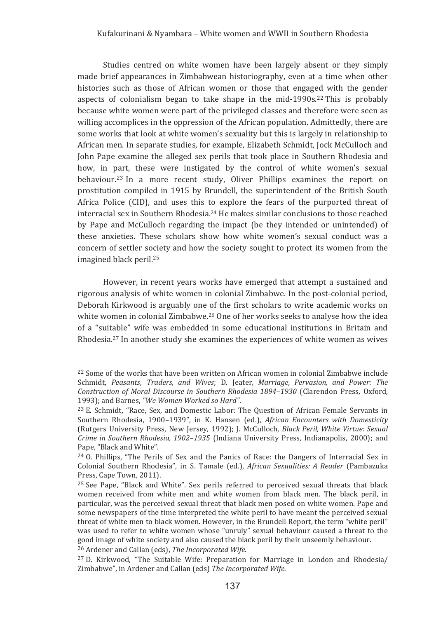Studies centred on white women have been largely absent or they simply made brief appearances in Zimbabwean historiography, even at a time when other histories such as those of African women or those that engaged with the gender aspects of colonialism began to take shape in the mid-1990s.<sup>22</sup> This is probably because white women were part of the privileged classes and therefore were seen as willing accomplices in the oppression of the African population. Admittedly, there are some works that look at white women's sexuality but this is largely in relationship to African men. In separate studies, for example, Elizabeth Schmidt, Jock McCulloch and John Pape examine the alleged sex perils that took place in Southern Rhodesia and how, in part, these were instigated by the control of white women's sexual behaviour.<sup>23</sup> In a more recent study, Oliver Phillips examines the report on prostitution compiled in 1915 by Brundell, the superintendent of the British South Africa Police (CID), and uses this to explore the fears of the purported threat of interracial sex in Southern Rhodesia.<sup>24</sup> He makes similar conclusions to those reached by Pape and McCulloch regarding the impact (be they intended or unintended) of these anxieties. These scholars show how white women's sexual conduct was a concern of settler society and how the society sought to protect its women from the imagined black peril.<sup>25</sup>

However, in recent years works have emerged that attempt a sustained and rigorous analysis of white women in colonial Zimbabwe. In the post-colonial period, Deborah Kirkwood is arguably one of the first scholars to write academic works on white women in colonial Zimbabwe.<sup>26</sup> One of her works seeks to analyse how the idea of a "suitable" wife was embedded in some educational institutions in Britain and Rhodesia.<sup>27</sup> In another study she examines the experiences of white women as wives

 $^{22}$  Some of the works that have been written on African women in colonial Zimbabwe include Schmidt, Peasants, Traders, and Wives; D. Jeater, Marriage, Pervasion, and Power: The Construction of Moral Discourse in Southern Rhodesia 1894–1930 (Clarendon Press, Oxford, *"We�Women�Worked�so�Hard"*

 $^{23}$  E. Schmidt, "Race, Sex, and Domestic Labor: The Question of African Female Servants in Southern Rhodesia, 1900–1939", in K. Hansen (ed.), *African Encounters with Domesticity* (Rutgers University Press, New Jersey, 1992); J. McCulloch, *Black Peril, White Virtue: Sexual* Crime in Southern Rhodesia, 1902–1935 (Indiana University Press, Indianapolis, 2000); and Pape, "Black and White".

 $^{24}$  O. Phillips, "The Perils of Sex and the Panics of Race: the Dangers of Interracial Sex in Colonial Southern Rhodesia", in S. Tamale (ed.), *African Sexualities: A Reader* (Pambazuka Press, Cape Town, 2011).

<sup>&</sup>lt;sup>25</sup> See Pape, "Black and White". Sex perils referred to perceived sexual threats that black women received from white men and white women from black men. The black peril, in particular, was the perceived sexual threat that black men posed on white women. Pape and some newspapers of the time interpreted the white peril to have meant the perceived sexual threat of white men to black women. However, in the Brundell Report, the term "white peril" was used to refer to white women whose "unruly" sexual behaviour caused a threat to the good image of white society and also caused the black peril by their unseemly behaviour. <sup>26</sup> Ardener and Callan (eds), *The Incorporated Wife.* 

 $27$  D. Kirkwood, "The Suitable Wife: Preparation for Marriage in London and Rhodesia/ Zimbabwe", in Ardener and Callan (eds) *The Incorporated Wife.*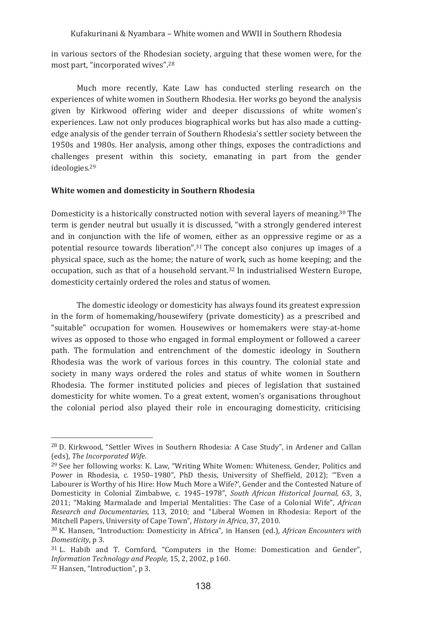in various sectors of the Rhodesian society, arguing that these women were, for the most part, "incorporated wives".<sup>28</sup>

Much more recently. Kate Law has conducted sterling research on the experiences of white women in Southern Rhodesia. Her works go beyond the analysis given by Kirkwood offering wider and deeper discussions of white women's experiences. Law not only produces biographical works but has also made a cuttingedge analysis of the gender terrain of Southern Rhodesia's settler society between the 1950s and 1980s. Her analysis, among other things, exposes the contradictions and challenges present within this society, emanating in part from the gender ideologies.<sup>29</sup>

# White women and domesticity in Southern Rhodesia

Domesticity is a historically constructed notion with several layers of meaning.<sup>30</sup> The term is gender neutral but usually it is discussed, "with a strongly gendered interest and in conjunction with the life of women, either as an oppressive regime or as a potential resource towards liberation".<sup>31</sup> The concept also conjures up images of a physical space, such as the home; the nature of work, such as home keeping; and the occupation, such as that of a household servant,<sup>32</sup> In industrialised Western Europe. domesticity certainly ordered the roles and status of women.

The domestic ideology or domesticity has always found its greatest expression in the form of homemaking/housewifery (private domesticity) as a prescribed and "suitable" occupation for women. Housewives or homemakers were stay-at-home wives as opposed to those who engaged in formal employment or followed a career path. The formulation and entrenchment of the domestic ideology in Southern Rhodesia was the work of various forces in this country. The colonial state and society in many ways ordered the roles and status of white women in Southern Rhodesia. The former instituted policies and pieces of legislation that sustained domesticity for white women. To a great extent, women's organisations throughout the colonial period also played their role in encouraging domesticity, criticising

<sup>&</sup>lt;sup>28</sup> D. Kirkwood, "Settler Wives in Southern Rhodesia: A Case Study", in Ardener and Callan (eds). The Incorporated Wife.

<sup>&</sup>lt;sup>29</sup> See her following works: K. Law, "Writing White Women: Whiteness, Gender, Politics and Power in Rhodesia, c. 1950-1980", PhD thesis, University of Sheffield, 2012); "Even a Labourer is Worthy of his Hire: How Much More a Wife?', Gender and the Contested Nature of Domesticity in Colonial Zimbabwe, c. 1945-1978". South African Historical Journal, 63, 3, 2011; "Making Marmalade and Imperial Mentalities: The Case of a Colonial Wife", African Research and Documentaries, 113, 2010; and "Liberal Women in Rhodesia: Report of the Mitchell Papers, University of Cape Town", History in Africa, 37, 2010.

<sup>&</sup>lt;sup>30</sup> K. Hansen, "Introduction: Domesticity in Africa", in Hansen (ed.), African Encounters with Domesticity, p 3.

<sup>&</sup>lt;sup>31</sup> L. Habib and T. Cornford. "Computers in the Home: Domestication and Gender". Information Technology and People, 15, 2, 2002, p 160.

<sup>&</sup>lt;sup>32</sup> Hansen, "Introduction", p 3.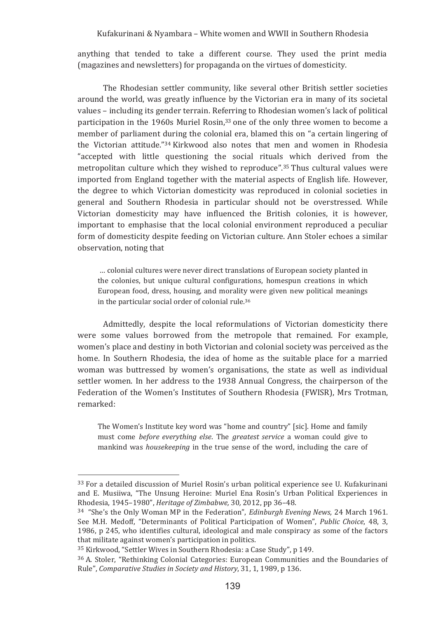anything that tended to take a different course. They used the print media (magazines and newsletters) for propaganda on the virtues of domesticity.

The Rhodesian settler community, like several other British settler societies around the world, was greatly influence by the Victorian era in many of its societal values – including its gender terrain. Referring to Rhodesian women's lack of political participation in the 1960s Muriel Rosin,<sup>33</sup> one of the only three women to become a member of parliament during the colonial era, blamed this on "a certain lingering of the Victorian attitude."<sup>34</sup> Kirkwood also notes that men and women in Rhodesia accepted with little questioning the social rituals which derived from the metropolitan culture which they wished to reproduce".<sup>35</sup>Thus cultural values were imported from England together with the material aspects of English life. However, the degree to which Victorian domesticity was reproduced in colonial societies in general and Southern Rhodesia in particular should not be overstressed. While Victorian domesticity may have influenced the British colonies, it is however, important to emphasise that the local colonial environment reproduced a peculiar form of domesticity despite feeding on Victorian culture. Ann Stoler echoes a similar observation, noting that

... colonial cultures were never direct translations of European society planted in the colonies, but unique cultural configurations, homespun creations in which European food, dress, housing, and morality were given new political meanings in the particular social order of colonial rule.<sup>36</sup>

Admittedly, despite the local reformulations of Victorian domesticity there were some values borrowed from the metropole that remained. For example, women's place and destiny in both Victorian and colonial society was perceived as the home. In Southern Rhodesia, the idea of home as the suitable place for a married woman was buttressed by women's organisations, the state as well as individual settler women. In her address to the 1938 Annual Congress, the chairperson of the Federation of the Women's Institutes of Southern Rhodesia (FWISR), Mrs Trotman, remarked:

The Women's Institute key word was "home and country" [sic]. Home and family must come before everything else. The greatest service a woman could give to mankind was *housekeeping* in the true sense of the word, including the care of

<sup>&</sup>lt;sup>33</sup> For a detailed discussion of Muriel Rosin's urban political experience see U. Kufakurinani and E. Musiiwa, "The Unsung Heroine: Muriel Ena Rosin's Urban Political Experiences in *Heritage�of�Zimbabwe,,*

<sup>&</sup>lt;sup>34</sup> "She's the Only Woman MP in the Federation", *Edinburgh Evening News*, 24 March 1961. See M.H. Medoff, "Determinants of Political Participation of Women", Public Choice, 48, 3, 1986, p 245, who identifies cultural, ideological and male conspiracy as some of the factors that militate against women's participation in politics.

<sup>&</sup>lt;sup>35</sup> Kirkwood, "Settler Wives in Southern Rhodesia: a Case Study", p 149.

<sup>&</sup>lt;sup>36</sup> A. Stoler, "Rethinking Colonial Categories: European Communities and the Boundaries of Rule", Comparative Studies in Society and History, 31, 1, 1989, p 136.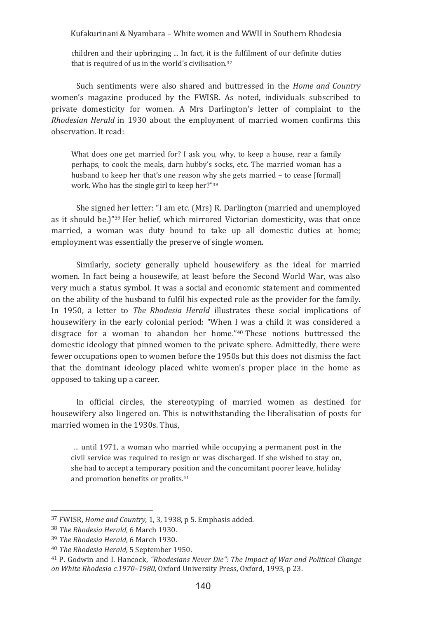children and their upbringing ... In fact, it is the fulfilment of our definite duties that is required of us in the world's civilisation. $37$ 

Such sentiments were also shared and buttressed in the *Home and Country* women's magazine produced by the FWISR. As noted, individuals subscribed to private domesticity for women. A Mrs Darlington's letter of complaint to the Rhodesian Herald in 1930 about the employment of married women confirms this observation. It read:

What does one get married for? I ask you, why, to keep a house, rear a family pernaps, to cook the meals, darn hubby's socks, etc. The married woman has a husband to keep her that's one reason why she gets married – to cease [formal] work. Who has the single girl to keep her?"38

She signed her letter: "I am etc. (Mrs) R. Darlington (married and unemployed as it should be.)"<sup>39</sup> Her belief, which mirrored Victorian domesticity, was that once married, a woman was duty bound to take up all domestic duties at home; employment was essentially the preserve of single women.

Similarly, society generally upheld housewifery as the ideal for married women. In fact being a housewife, at least before the Second World War, was also very much a status symbol. It was a social and economic statement and commented on the ability of the husband to fulfil his expected role as the provider for the family. In 1950, a letter to *The Rhodesia Herald* illustrates these social implications of housewifery in the early colonial period: "When I was a child it was considered a disgrace for a woman to abandon her home."<sup>40</sup>These notions buttressed the domestic ideology that pinned women to the private sphere. Admittedly, there were fewer occupations open to women before the 1950s but this does not dismiss the fact that the dominant ideology placed white women's proper place in the home as opposed to taking up a career.

In official circles, the stereotyping of married women as destined for housewifery also lingered on. This is notwithstanding the liberalisation of posts for married women in the 1930s. Thus,

... until 1971, a woman who married while occupying a permanent post in the civil service was required to resign or was discharged. If she wished to stay on, she had to accept a temporary position and the concomitant poorer leave, holiday and promotion benefits or profits.<sup>41</sup>

<u> 1989 - Johann Stein, mars an t-Amerikaansk kommunister (</u>

<sup>&</sup>lt;sup>37</sup> FWISR, *Home and Country*, 1, 3, 1938, p 5. Emphasis added.

<sup>&</sup>lt;sup>38</sup> The Rhodesia Herald, 6 March 1930.

<sup>&</sup>lt;sup>39</sup> The Rhodesia Herald, 6 March 1930.

<sup>&</sup>lt;sup>40</sup> The Rhodesia Herald, 5 Sentember 1950.

<sup>&</sup>lt;sup>41</sup> P. Godwin and I. Hancock, "Rhodesians Never Die": The Impact of War and Political Change on White Rhodesia c.1970–1980, Oxford University Press, Oxford, 1993, p 23.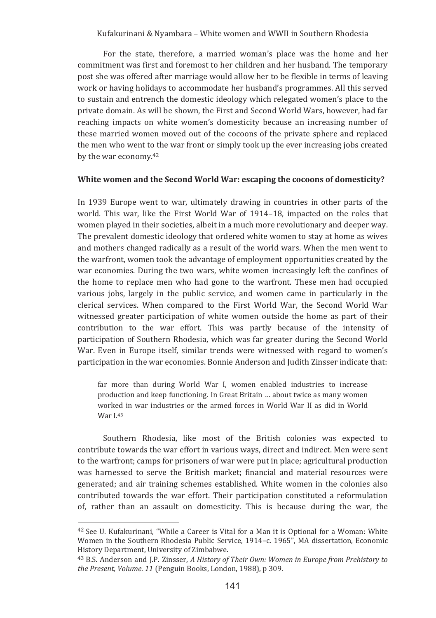For the state, therefore, a married woman's place was the home and her commitment was first and foremost to her children and her husband. The temporary post she was offered after marriage would allow her to be flexible in terms of leaving work or having holidays to accommodate her husband's programmes. All this served to sustain and entrench the domestic ideology which relegated women's place to the private domain. As will be shown, the First and Second World Wars, however, had far reaching impacts on white women's domesticity because an increasing number of these married women moved out of the cocoons of the private sphere and replaced the men who went to the war front or simply took up the ever increasing jobs created by the war economy.<sup>42</sup>

#### White women and the Second World War: escaping the cocoons of domesticity?

In 1939 Europe went to war, ultimately drawing in countries in other parts of the world. This war, like the First World War of 1914–18, impacted on the roles that women played in their societies, albeit in a much more revolutionary and deeper way. The prevalent domestic ideology that ordered white women to stay at home as wives and mothers changed radically as a result of the world wars. When the men went to the warfront, women took the advantage of employment opportunities created by the war economies. During the two wars, white women increasingly left the confines of the home to replace men who had gone to the warfront. These men had occupied various jobs, largely in the public service, and women came in particularly in the clerical services. When compared to the First World War, the Second World War witnessed greater participation of white women outside the home as part of their contribution to the war effort. This was partly because of the intensity of participation of Southern Rhodesia, which was far greater during the Second World War. Even in Europe itself, similar trends were witnessed with regard to women's participation in the war economies. Bonnie Anderson and Judith Zinsser indicate that:

far more than during World War I, women enabled industries to increase production and keep functioning. In Great Britain ... about twice as many women worked in war industries or the armed forces in World War II as did in World War L<sup>43</sup>

Southern Rhodesia, like most of the British colonies was expected to contribute towards the war effort in various ways, direct and indirect. Men were sent to the warfront; camps for prisoners of war were put in place; agricultural production was harnessed to serve the British market; financial and material resources were generated; and air training schemes established. White women in the colonies also contributed towards the war effort. Their participation constituted a reformulation of, rather than an assault on domesticity. This is because during the war, the

<sup>&</sup>lt;sup>42</sup> See U. Kufakurinani, "While a Career is Vital for a Man it is Optional for a Woman: White Women in the Southern Rhodesia Public Service, 1914-c. 1965", MA dissertation, Economic History Department, University of Zimbabwe.

<sup>&</sup>lt;sup>43</sup> B.S. Anderson and J.P. Zinsser, A History of Their Own: Women in Europe from Prehistory to the Present, Volume. 11 (Penguin Books, London, 1988), p 309.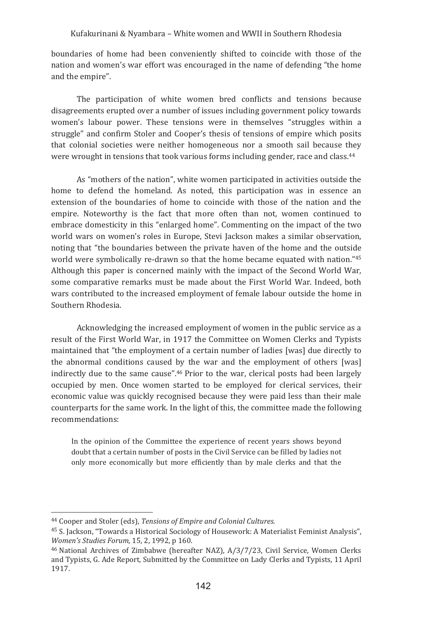boundaries of home had been conveniently shifted to coincide with those of the nation and women's war effort was encouraged in the name of defending "the home and the empire".

The participation of white women bred conflicts and tensions because disagreements erupted over a number of issues including government policy towards women's labour power. These tensions were in themselves "struggles within a struggle" and confirm Stoler and Cooper's thesis of tensions of empire which posits that colonial societies were neither homogeneous nor a smooth sail because they were wrought in tensions that took various forms including gender, race and class.<sup>44</sup>

As "mothers of the nation", white women participated in activities outside the home to defend the homeland. As noted, this participation was in essence an extension of the boundaries of home to coincide with those of the nation and the empire. Noteworthy is the fact that more often than not, women continued to embrace domesticity in this "enlarged home". Commenting on the impact of the two world wars on women's roles in Europe. Stevi Jackson makes a similar observation. noting that "the boundaries between the private haven of the home and the outside world were symbolically re-drawn so that the home became equated with nation."45 Although this paper is concerned mainly with the impact of the Second World War. some comparative remarks must be made about the First World War. Indeed, both wars contributed to the increased employment of female labour outside the home in Southern Rhodesia.

Acknowledging the increased employment of women in the public service as a result of the First World War, in 1917 the Committee on Women Clerks and Typists maintained that "the employment of a certain number of ladies [was] due directly to the abnormal conditions caused by the war and the employment of others [was] indirectly due to the same cause".<sup>46</sup> Prior to the war, clerical posts had been largely occupied by men. Once women started to be employed for clerical services, their economic value was quickly recognised because they were paid less than their male counterparts for the same work. In the light of this, the committee made the following recommendations:

In the opinion of the Committee the experience of recent years shows beyond doubt that a certain number of posts in the Civil Service can be filled by ladies not only more economically but more efficiently than by male clerks and that the

<sup>&</sup>lt;sup>44</sup> Cooper and Stoler (eds), Tensions of Empire and Colonial Cultures.

<sup>&</sup>lt;sup>45</sup> S. Jackson. "Towards a Historical Sociology of Housework: A Materialist Feminist Analysis". Women's Studies Forum, 15, 2, 1992, p 160.

<sup>&</sup>lt;sup>46</sup> National Archives of Zimbabwe (hereafter NAZ), A/3/7/23, Civil Service, Women Clerks and Typists. G. Ade Report. Submitted by the Committee on Lady Clerks and Typists. 11 April 1917.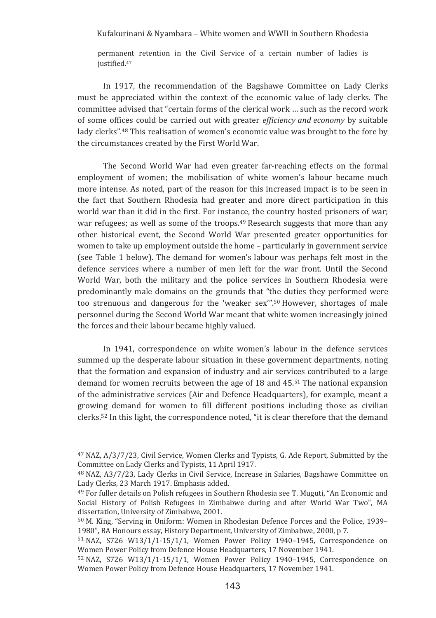permanent retention in the Civil Service of a certain number of ladies is justified.<sup>47</sup>

In 1917, the recommendation of the Bagshawe Committee on Lady Clerks must be appreciated within the context of the economic value of lady clerks. The committee advised that "certain forms of the clerical work ... such as the record work of some offices could be carried out with greater *efficiency and economy* by suitable lady clerks".<sup>48</sup> This realisation of women's economic value was brought to the fore by the circumstances created by the First World War.

The Second World War had even greater far-reaching effects on the formal employment of women: the mobilisation of white women's labour became much more intense. As noted, part of the reason for this increased impact is to be seen in the fact that Southern Rhodesia had greater and more direct participation in this world war than it did in the first. For instance, the country hosted prisoners of war; war refugees; as well as some of the troops.<sup>49</sup> Research suggests that more than any other historical event, the Second World War presented greater opportunities for women to take up employment outside the home - particularly in government service (see Table 1 below). The demand for women's labour was perhaps felt most in the defence services where a number of men left for the war front. Until the Second World War, both the military and the police services in Southern Rhodesia were predominantly male domains on the grounds that "the duties they performed were too strenuous and dangerous for the 'weaker sex".<sup>50</sup> However, shortages of male personnel during the Second World War meant that white women increasingly joined the forces and their labour became highly valued.

In 1941, correspondence on white women's labour in the defence services summed up the desperate labour situation in these government departments, noting that the formation and expansion of industry and air services contributed to a large demand for women recruits between the age of 18 and 45.51 The national expansion of the administrative services (Air and Defence Headquarters), for example, meant a growing demand for women to fill different positions including those as civilian clerks.<sup>52</sup> In this light, the correspondence noted, "it is clear therefore that the demand

<sup>&</sup>lt;sup>47</sup> NAZ. A/3/7/23, Civil Service, Women Clerks and Typists, G. Ade Report, Submitted by the Committee on Lady Clerks and Typists, 11 April 1917.

<sup>&</sup>lt;sup>48</sup> NAZ, A3/7/23, Lady Clerks in Civil Service, Increase in Salaries, Bagshawe Committee on Lady Clerks, 23 March 1917. Emphasis added.

<sup>&</sup>lt;sup>49</sup> For fuller details on Polish refugees in Southern Rhodesia see T. Muguti, "An Economic and Social History of Polish Refugees in Zimbabwe during and after World War Two", MA dissertation, University of Zimbabwe, 2001.

<sup>&</sup>lt;sup>50</sup> M. King, "Serving in Uniform: Women in Rhodesian Defence Forces and the Police, 1939– 1980", BA Honours essay, History Department, University of Zimbabwe, 2000, p 7.

 $51$  NAZ, S726 W13/1/1-15/1/1, Women Power Policy 1940-1945, Correspondence on Women Power Policy from Defence House Headquarters, 17 November 1941.

 $52$  NAZ, S726 W13/1/1-15/1/1, Women Power Policy 1940-1945, Correspondence on Women Power Policy from Defence House Headquarters, 17 November 1941.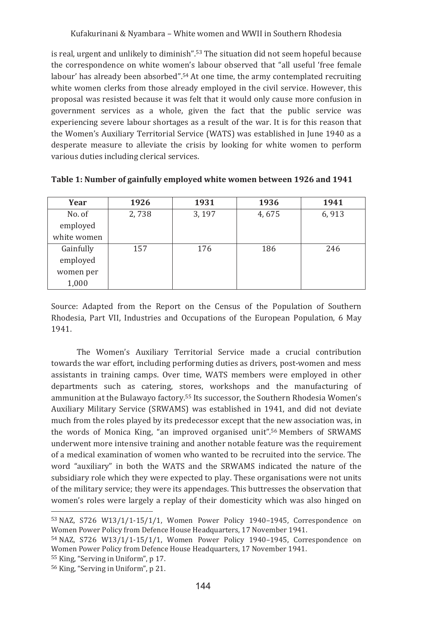is real, urgent and unlikely to diminish".<sup>53</sup> The situation did not seem hopeful because the correspondence on white women's labour observed that "all useful 'free female labour' has already been absorbed".<sup>54</sup> At one time, the army contemplated recruiting white women clerks from those already employed in the civil service. However, this proposal was resisted because it was felt that it would only cause more confusion in government services as a whole, given the fact that the public service was experiencing severe labour shortages as a result of the war. It is for this reason that the Women's Auxiliary Territorial Service (WATS) was established in June 1940 as a desperate measure to alleviate the crisis by looking for white women to perform various duties including clerical services.

| Year        | 1926  | 1931  | 1936  | 1941  |
|-------------|-------|-------|-------|-------|
| No. of      | 2,738 | 3,197 | 4,675 | 6,913 |
| employed    |       |       |       |       |
| white women |       |       |       |       |
| Gainfully   | 157   | 176   | 186   | 246   |
| employed    |       |       |       |       |
| women per   |       |       |       |       |
| 1,000       |       |       |       |       |

Table 1: Number of gainfully employed white women between 1926 and 1941

Source: Adapted from the Report on the Census of the Population of Southern Rhodesia, Part VII, Industries and Occupations of the European Population, 6 May 1941.

The Women's Auxiliary Territorial Service made a crucial contribution towards the war effort, including performing duties as drivers, post-women and mess assistants in training camps. Over time, WATS members were employed in other departments such as catering, stores, workshops and the manufacturing of ammunition at the Bulawayo factory.<sup>55</sup> Its successor, the Southern Rhodesia Women's Auxiliary Military Service (SRWAMS) was established in 1941, and did not deviate much from the roles played by its predecessor except that the new association was, in the words of Monica King, "an improved organised unit".<sup>56</sup> Members of SRWAMS underwent more intensive training and another notable feature was the requirement of a medical examination of women who wanted to be recruited into the service. The word "auxiliary" in both the WATS and the SRWAMS indicated the nature of the subsidiary role which they were expected to play. These organisations were not units of the military service; they were its appendages. This buttresses the observation that women's roles were largely a replay of their domesticity which was also hinged on

 $53$  NAZ, S726 W13/1/1-15/1/1, Women Power Policy 1940-1945, Correspondence on Women Power Policy from Defence House Headquarters, 17 November 1941.

<sup>54</sup> NAZ, S726 W13/1/1-15/1/1, Women Power Policy 1940-1945, Correspondence on Women Power Policy from Defence House Headquarters, 17 November 1941.

<sup>&</sup>lt;sup>55</sup> King, "Serving in Uniform", p 17.

<sup>&</sup>lt;sup>56</sup> King, "Serving in Uniform", p 21.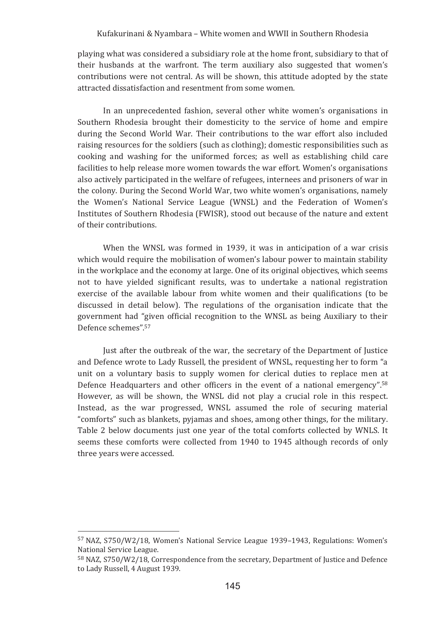playing what was considered a subsidiary role at the home front, subsidiary to that of their husbands at the warfront. The term auxiliary also suggested that women's contributions were not central. As will be shown, this attitude adopted by the state attracted dissatisfaction and resentment from some women.

In an unprecedented fashion, several other white women's organisations in Southern Rhodesia brought their domesticity to the service of home and empire during the Second World War. Their contributions to the war effort also included raising resources for the soldiers (such as clothing); domestic responsibilities such as cooking and washing for the uniformed forces; as well as establishing child care facilities to help release more women towards the war effort. Women's organisations also actively participated in the welfare of refugees, internees and prisoners of war in the colony. During the Second World War, two white women's organisations, namely the Women's National Service League (WNSL) and the Federation of Women's Institutes of Southern Rhodesia (FWISR), stood out because of the nature and extent of their contributions.

When the WNSL was formed in 1939, it was in anticipation of a war crisis which would require the mobilisation of women's labour power to maintain stability in the workplace and the economy at large. One of its original objectives, which seems not to have yielded significant results, was to undertake a national registration exercise of the available labour from white women and their qualifications (to be discussed in detail below). The regulations of the organisation indicate that the government had "given official recognition to the WNSL as being Auxiliary to their Defence schemes".57

Just after the outbreak of the war, the secretary of the Department of Justice and Defence wrote to Lady Russell, the president of WNSL, requesting her to form "a unit on a voluntary basis to supply women for clerical duties to replace men at Defence Headquarters and other officers in the event of a national emergency".<sup>58</sup> However, as will be shown, the WNSL did not play a crucial role in this respect. Instead, as the war progressed. WNSL assumed the role of securing material "comforts" such as blankets, pyjamas and shoes, among other things, for the military. Table 2 below documents just one year of the total comforts collected by WNLS. It seems these comforts were collected from 1940 to 1945 although records of only three years were accessed.

<sup>&</sup>lt;sup>57</sup> NAZ, S750/W2/18, Women's National Service League 1939-1943, Regulations: Women's National Service League.

<sup>&</sup>lt;sup>58</sup> NAZ, S750/W2/18, Correspondence from the secretary, Department of Justice and Defence to Lady Russell, 4 August 1939.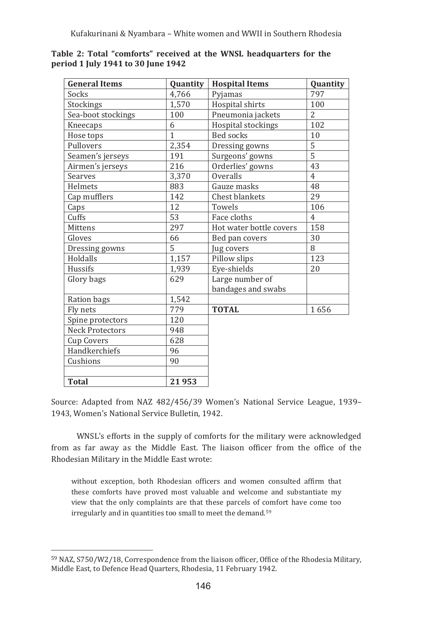| <b>General Items</b>   | Quantity     | <b>Hospital Items</b>   | Quantity       |
|------------------------|--------------|-------------------------|----------------|
| Socks                  | 4,766        | Pyjamas                 | 797            |
| Stockings              | 1,570        | Hospital shirts         | 100            |
| Sea-boot stockings     | 100          | Pneumonia jackets       | $\overline{2}$ |
| Kneecaps               | 6            | Hospital stockings      | 102            |
| Hose tops              | $\mathbf{1}$ | <b>Bed socks</b>        | 10             |
| Pullovers              | 2,354        | Dressing gowns          | 5              |
| Seamen's jerseys       | 191          | Surgeons' gowns         | 5              |
| Airmen's jerseys       | 216          | Orderlies' gowns        | 43             |
| Searves                | 3,370        | Overalls                | $\overline{4}$ |
| Helmets                | 883          | Gauze masks             | 48             |
| Cap mufflers           | 142          | <b>Chest blankets</b>   | 29             |
| Caps                   | 12           | Towels                  | 106            |
| Cuffs                  | 53           | Face cloths             | $\overline{4}$ |
| Mittens                | 297          | Hot water bottle covers | 158            |
| Gloves                 | 66           | Bed pan covers          | 30             |
| Dressing gowns         | 5            | Jug covers              | 8              |
| Holdalls               | 1,157        | Pillow slips            | 123            |
| Hussifs                | 1.939        | Eye-shields             | 20             |
| Glory bags             | 629          | Large number of         |                |
|                        |              | bandages and swabs      |                |
| Ration bags            | 1,542        |                         |                |
| Fly nets               | 779          | <b>TOTAL</b>            | 1656           |
| Spine protectors       | 120          |                         |                |
| <b>Neck Protectors</b> | 948          |                         |                |
| <b>Cup Covers</b>      | 628          |                         |                |
| Handkerchiefs          | 96           |                         |                |
| Cushions               | 90           |                         |                |
|                        |              |                         |                |
| <b>Total</b>           | 21953        |                         |                |

Table 2: Total "comforts" received at the WNSL headquarters for the period 1 July 1941 to 30 June 1942

Source: Adapted from NAZ 482/456/39 Women's National Service League, 1939-1943. Women's National Service Bulletin, 1942.

WNSL's efforts in the supply of comforts for the military were acknowledged from as far away as the Middle East. The liaison officer from the office of the Rhodesian Military in the Middle East wrote:

without exception, both Rhodesian officers and women consulted affirm that these comforts have proved most valuable and welcome and substantiate my view that the only complaints are that these parcels of comfort have come too irregularly and in quantities too small to meet the demand.<sup>59</sup>

<sup>&</sup>lt;sup>59</sup> NAZ, S750/W2/18, Correspondence from the liaison officer, Office of the Rhodesia Military, Middle East, to Defence Head Quarters, Rhodesia, 11 February 1942.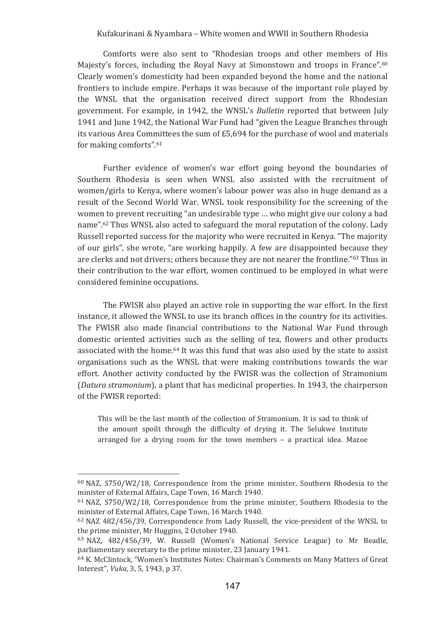Comforts were also sent to "Rhodesian troops and other members of His Majesty's forces, including the Royal Navy at Simonstown and troops in France".60 Clearly women's domesticity had been expanded beyond the home and the national frontiers to include empire. Perhaps it was because of the important role played by the WNSL that the organisation received direct support from the Rhodesian government. For example, in 1942, the WNSL's Bulletin reported that between July 1941 and June 1942, the National War Fund had "given the League Branches through its various Area Committees the sum of £5.694 for the purchase of wool and materials for making comforts".61

Further evidence of women's war effort going beyond the boundaries of Southern Rhodesia is seen when WNSL also assisted with the recruitment of women/girls to Kenya, where women's labour power was also in huge demand as a result of the Second World War, WNSL took responsibility for the screening of the women to prevent recruiting "an undesirable type ... who might give our colony a bad name".<sup>62</sup> Thus WNSL also acted to safeguard the moral reputation of the colony. Lady Russell reported success for the majority who were recruited in Kenya, "The majority of our girls", she wrote, "are working happily. A few are disappointed because they are clerks and not drivers; others because they are not nearer the frontline."<sup>63</sup> Thus in their contribution to the war effort, women continued to be employed in what were considered feminine occupations.

The FWISR also played an active role in supporting the war effort. In the first instance, it allowed the WNSL to use its branch offices in the country for its activities. The FWISR also made financial contributions to the National War Fund through domestic oriented activities such as the selling of tea. flowers and other products associated with the home.<sup>64</sup> It was this fund that was also used by the state to assist organisations such as the WNSL that were making contributions towards the war effort. Another activity conducted by the FWISR was the collection of Stramonium (Datura stramonium), a plant that has medicinal properties. In 1943, the chairperson of the FWISR reported:

This will be the last month of the collection of Stramonium. It is sad to think of the amount spoilt through the difficulty of drying it. The Selukwe Institute arranged for a drying room for the town members - a practical idea. Mazoe

 $60$  NAZ, S750/W2/18, Correspondence from the prime minister, Southern Rhodesia to the minister of External Affairs, Cape Town, 16 March 1940.

 $61$  NAZ, S750/W2/18. Correspondence from the prime minister. Southern Rhodesia to the minister of External Affairs, Cape Town, 16 March 1940.

<sup>62</sup> NAZ 482/456/39, Correspondence from Lady Russell, the vice-president of the WNSL to the prime minister, Mr Huggins, 2 October 1940.

<sup>&</sup>lt;sup>63</sup> NAZ, 482/456/39, W. Russell (Women's National Service League) to Mr Beadle, parliamentary secretary to the prime minister, 23 January 1941.

<sup>64</sup> K. McClintock, "Women's Institutes Notes: Chairman's Comments on Many Matters of Great Interest", Vuka, 3, 5, 1943, p 37.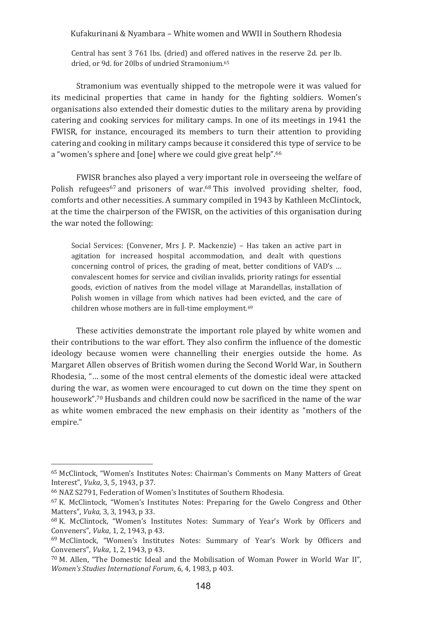Central has sent 3 761 lbs. (dried) and offered natives in the reserve 2d, per lb. dried, or 9d, for 20lbs of undried Stramonium.<sup>65</sup>

Stramonium was eventually shipped to the metropole were it was valued for its medicinal properties that came in handy for the fighting soldiers. Women's organisations also extended their domestic duties to the military arena by providing catering and cooking services for military camps. In one of its meetings in 1941 the FWISR, for instance, encouraged its members to turn their attention to providing catering and cooking in military camps because it considered this type of service to be a "women's sphere and [one] where we could give great help".66

FWISR branches also played a very important role in overseeing the welfare of Polish refugees<sup>67</sup> and prisoners of war.<sup>68</sup> This involved providing shelter, food, comforts and other necessities. A summary compiled in 1943 by Kathleen McClintock, at the time the chairperson of the FWISR, on the activities of this organisation during the war noted the following:

Social Services: (Convener, Mrs J. P. Mackenzie) - Has taken an active part in agitation for increased hospital accommodation, and dealt with questions concerning control of prices, the grading of meat, better conditions of VAD's ... convalescent homes for service and civilian invalids, priority ratings for essential goods, eviction of natives from the model village at Marandellas, installation of Polish women in village from which natives had been evicted, and the care of children whose mothers are in full-time employment.<sup>69</sup>

These activities demonstrate the important role played by white women and their contributions to the war effort. They also confirm the influence of the domestic ideology because women were channelling their energies outside the home. As Margaret Allen observes of British women during the Second World War, in Southern Rhodesia, "... some of the most central elements of the domestic ideal were attacked during the war, as women were encouraged to cut down on the time they spent on housework".<sup>70</sup> Husbands and children could now be sacrificed in the name of the war as white women embraced the new emphasis on their identity as "mothers of the empire."

<sup>&</sup>lt;sup>65</sup> McClintock, "Women's Institutes Notes: Chairman's Comments on Many Matters of Great Interest". Vuka. 3.5.1943. p 37.

<sup>&</sup>lt;sup>66</sup> NAZ S2791. Federation of Women's Institutes of Southern Rhodesia.

<sup>&</sup>lt;sup>67</sup> K. McClintock. "Women's Institutes Notes: Preparing for the Gwelo Congress and Other Matters", Vuka, 3, 3, 1943, p 33.

<sup>&</sup>lt;sup>68</sup> K. McClintock, "Women's Institutes Notes: Summary of Year's Work by Officers and Conveners", *Vuka*, 1, 2, 1943, p 43.

<sup>69</sup> McClintock, "Women's Institutes Notes: Summary of Year's Work by Officers and Conveners", Vuka, 1, 2, 1943, p 43.

<sup>70</sup> M. Allen, "The Domestic Ideal and the Mobilisation of Woman Power in World War II", Women's Studies International Forum, 6, 4, 1983, p 403.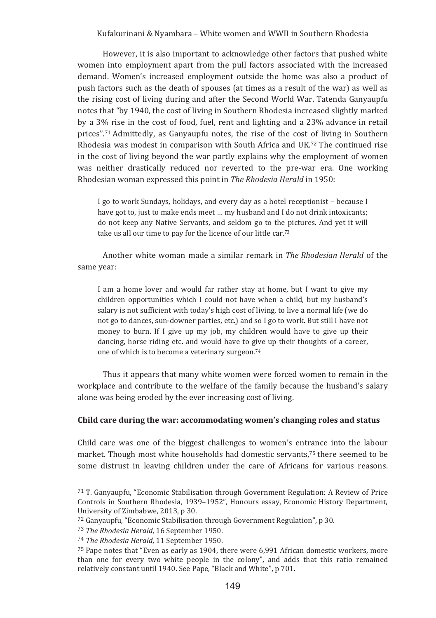However, it is also important to acknowledge other factors that pushed white women into employment apart from the pull factors associated with the increased demand. Women's increased employment outside the home was also a product of push factors such as the death of spouses (at times as a result of the war) as well as the rising cost of living during and after the Second World War. Tatenda Ganyaupfu notes that "by 1940, the cost of living in Southern Rhodesia increased slightly marked by a 3% rise in the cost of food, fuel, rent and lighting and a 23% advance in retail prices".<sup>71</sup> Admittedly, as Ganyaupfu notes, the rise of the cost of living in Southern Rhodesia was modest in comparison with South Africa and UK.<sup>72</sup> The continued rise in the cost of living beyond the war partly explains why the employment of women was neither drastically reduced nor reverted to the pre-war era. One working Rhodesian woman expressed this point in *The Rhodesia Herald* in 1950:

I go to work Sundays, holidays, and every day as a hotel receptionist – because I have got to, just to make ends meet ... my husband and I do not drink intoxicants; do not keep any Native Servants, and seldom go to the pictures. And yet it will take us all our time to pay for the licence of our little car.<sup>73</sup>

Another white woman made a similar remark in *The Rhodesian Herald* of the same vear:

I am a home lover and would far rather stay at home, but I want to give my children opportunities which I could not have when a child, but my husband's salary is not sufficient with today's high cost of living, to live a normal life (we do not go to dances, sun-downer parties, etc.) and so I go to work. But still I have not money to burn. If I give up my job, my children would have to give up their dancing, horse riding etc. and would have to give up their thoughts of a career, one of which is to become a veterinary surgeon.<sup>74</sup>

Thus it appears that many white women were forced women to remain in the workplace and contribute to the welfare of the family because the husband's salary alone was being eroded by the ever increasing cost of living.

#### Child care during the war: accommodating women's changing roles and status

Child care was one of the biggest challenges to women's entrance into the labour market. Though most white households had domestic servants,<sup>75</sup> there seemed to be some distrust in leaving children under the care of Africans for various reasons.

<u> 1989 - Johann Stein, mars an t-Amerikaansk kommunister (</u>

<sup>71</sup> T. Ganvaupfu, "Economic Stabilisation through Government Regulation: A Review of Price Controls in Southern Rhodesia, 1939–1952", Honours essay, Economic History Department, University of Zimbabwe, 2013, p 30.

<sup>72</sup> Ganyaupfu, "Economic Stabilisation through Government Regulation", p 30.

<sup>&</sup>lt;sup>73</sup> The Rhodesia Herald, 16 September 1950.

<sup>&</sup>lt;sup>74</sup> The Rhodesia Herald, 11 September 1950.

 $^{75}$  Pape notes that "Even as early as 1904, there were 6,991 African domestic workers, more than one for every two white people in the colony", and adds that this ratio remained relatively constant until 1940. See Pape, "Black and White", p 701.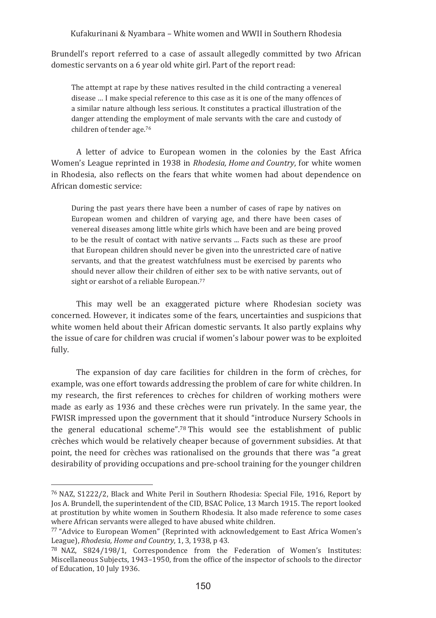Brundell's report referred to a case of assault allegedly committed by two African domestic servants on a 6 year old white girl. Part of the report read:

The attempt at rape by these natives resulted in the child contracting a venereal disease ... I make special reference to this case as it is one of the many offences of a similar nature although less serious. It constitutes a practical illustration of the danger attending the employment of male servants with the care and custody of children of tender age.<sup>76</sup>

A letter of advice to European women in the colonies by the East Africa Women's League reprinted in 1938 in Rhodesia, Home and Country, for white women in Rhodesia, also reflects on the fears that white women had about dependence on African domestic service:

During the past years there have been a number of cases of rape by natives on European women and children of varying age, and there have been cases of venereal diseases among little white girls which have been and are being proved to be the result of contact with native servants ... Facts such as these are proof that European children should never be given into the unrestricted care of native servants, and that the greatest watchfulness must be exercised by parents who should never allow their children of either sex to be with native servants, out of sight or earshot of a reliable European.<sup>77</sup>

This may well be an exaggerated picture where Rhodesian society was concerned. However, it indicates some of the fears, uncertainties and suspicions that white women held about their African domestic servants. It also partly explains why the issue of care for children was crucial if women's labour power was to be exploited fully.

The expansion of day care facilities for children in the form of crèches, for example, was one effort towards addressing the problem of care for white children. In my research, the first references to crèches for children of working mothers were made as early as 1936 and these crèches were run privately. In the same year, the FWISR impressed upon the government that it should "introduce Nursery Schools in the general educational scheme".78 This would see the establishment of public crèches which would be relatively cheaper because of government subsidies. At that point, the need for crèches was rationalised on the grounds that there was "a great desirability of providing occupations and pre-school training for the younger children

<sup>&</sup>lt;sup>76</sup> NAZ, S1222/2, Black and White Peril in Southern Rhodesia: Special File, 1916, Report by Jos A. Brundell, the superintendent of the CID, BSAC Police, 13 March 1915. The report looked at prostitution by white women in Southern Rhodesia. It also made reference to some cases where African servants were alleged to have abused white children.

<sup>77 &</sup>quot;Advice to European Women" (Reprinted with acknowledgement to East Africa Women's League), Rhodesia, Home and Country, 1, 3, 1938, p 43.

<sup>&</sup>lt;sup>78</sup> NAZ, S824/198/1, Correspondence from the Federation of Women's Institutes: Miscellaneous Subjects, 1943–1950, from the office of the inspector of schools to the director of Education, 10 July 1936.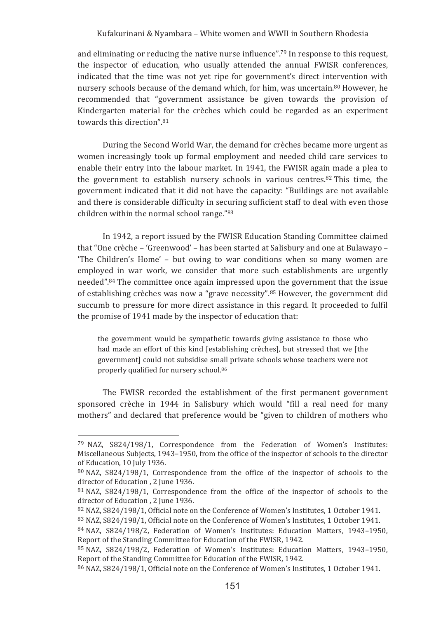and eliminating or reducing the native nurse influence".<sup>79</sup> In response to this request, the inspector of education, who usually attended the annual FWISR conferences, indicated that the time was not yet ripe for government's direct intervention with nursery schools because of the demand which, for him, was uncertain.<sup>80</sup> However, he recommended that "government assistance be given towards the provision of Kindergarten material for the crèches which could be regarded as an experiment towards this direction".81

During the Second World War, the demand for crèches became more urgent as women increasingly took up formal employment and needed child care services to enable their entry into the labour market. In 1941, the FWISR again made a plea to the government to establish nursery schools in various centres.<sup>82</sup> This time, the government indicated that it did not have the capacity: "Buildings are not available and there is considerable difficulty in securing sufficient staff to deal with even those children within the normal school range."83

In 1942, a report issued by the FWISR Education Standing Committee claimed that "One crèche - 'Greenwood' - has been started at Salisbury and one at Bulawayo -'The Children's Home' - but owing to war conditions when so many women are employed in war work, we consider that more such establishments are urgently needed".<sup>84</sup> The committee once again impressed upon the government that the issue of establishing crèches was now a "grave necessity".<sup>85</sup> However, the government did succumb to pressure for more direct assistance in this regard. It proceeded to fulfil the promise of 1941 made by the inspector of education that:

the government would be sympathetic towards giving assistance to those who had made an effort of this kind [establishing crèches], but stressed that we [the government] could not subsidise small private schools whose teachers were not properly qualified for nursery school.<sup>86</sup>

The FWISR recorded the establishment of the first permanent government sponsored crèche in 1944 in Salisbury which would "fill a real need for many mothers" and declared that preference would be "given to children of mothers who

<sup>&</sup>lt;sup>79</sup> NAZ, S824/198/1, Correspondence from the Federation of Women's Institutes: Miscellaneous Subjects, 1943–1950, from the office of the inspector of schools to the director of Education, 10 July 1936.

<sup>80</sup> NAZ, S824/198/1, Correspondence from the office of the inspector of schools to the director of Education . 2 June 1936.

<sup>&</sup>lt;sup>81</sup> NAZ, S824/198/1, Correspondence from the office of the inspector of schools to the director of Education, 2 June 1936.

<sup>&</sup>lt;sup>82</sup> NAZ, S824/198/1, Official note on the Conference of Women's Institutes, 1 October 1941.

<sup>&</sup>lt;sup>83</sup> NAZ, S824/198/1, Official note on the Conference of Women's Institutes, 1 October 1941.

<sup>&</sup>lt;sup>84</sup> NAZ, S824/198/2, Federation of Women's Institutes: Education Matters, 1943-1950, Report of the Standing Committee for Education of the FWISR, 1942.

<sup>&</sup>lt;sup>85</sup> NAZ, S824/198/2. Federation of Women's Institutes: Education Matters, 1943-1950. Report of the Standing Committee for Education of the FWISR, 1942.

<sup>&</sup>lt;sup>86</sup> NAZ, S824/198/1, Official note on the Conference of Women's Institutes, 1 October 1941.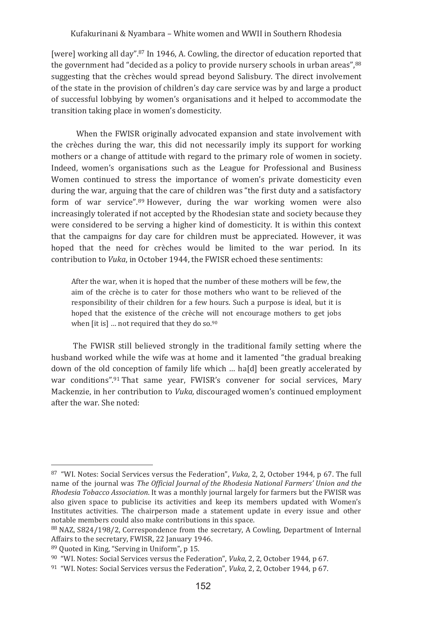[were] working all day".<sup>87</sup> In 1946, A. Cowling, the director of education reported that the government had "decided as a policy to provide nursery schools in urban areas", 88 suggesting that the crèches would spread beyond Salisbury. The direct involvement of the state in the provision of children's day care service was by and large a product of successful lobbying by women's organisations and it helped to accommodate the transition taking place in women's domesticity.

When the FWISR originally advocated expansion and state involvement with the crèches during the war, this did not necessarily imply its support for working mothers or a change of attitude with regard to the primary role of women in society. Indeed, women's organisations such as the League for Professional and Business Women continued to stress the importance of women's private domesticity even during the war, arguing that the care of children was "the first duty and a satisfactory form of war service",<sup>89</sup> However, during the war working women were also increasingly tolerated if not accepted by the Rhodesian state and society because they were considered to be serving a higher kind of domesticity. It is within this context that the campaigns for day care for children must be appreciated. However, it was hoped that the need for crèches would be limited to the war period. In its contribution to Vuka, in October 1944, the FWISR echoed these sentiments:

After the war, when it is hoped that the number of these mothers will be few, the aim of the crèche is to cater for those mothers who want to be relieved of the responsibility of their children for a few hours. Such a purpose is ideal, but it is hoped that the existence of the crèche will not encourage mothers to get jobs when [it is] ... not required that they do so.90

The FWISR still believed strongly in the traditional family setting where the husband worked while the wife was at home and it lamented "the gradual breaking down of the old conception of family life which ... ha[d] been greatly accelerated by war conditions".91 That same year, FWISR's convener for social services, Mary Mackenzie, in her contribution to *Vuka*, discouraged women's continued employment after the war She noted:

<sup>&</sup>lt;sup>87</sup> "WI. Notes: Social Services versus the Federation", Vuka, 2, 2, October 1944, p 67. The full name of the journal was The Official Journal of the Rhodesia National Farmers' Union and the Rhodesia Tobacco Association. It was a monthly journal largely for farmers but the FWISR was also given space to publicise its activities and keep its members updated with Women's Institutes activities. The chairperson made a statement update in every issue and other notable members could also make contributions in this space.

<sup>&</sup>lt;sup>88</sup> NAZ, S824/198/2, Correspondence from the secretary, A Cowling, Department of Internal Affairs to the secretary, FWISR, 22 January 1946.

<sup>&</sup>lt;sup>89</sup> Ouoted in King. "Serving in Uniform", p 15.

<sup>&</sup>lt;sup>90</sup> "WI. Notes: Social Services versus the Federation", *Vuka*, 2, 2, October 1944, p 67.

<sup>&</sup>lt;sup>91</sup> "WI. Notes: Social Services versus the Federation", *Vuka*, 2, 2, October 1944, p 67.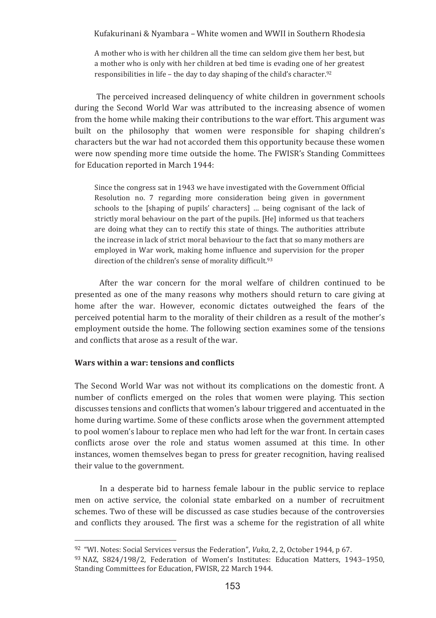A mother who is with her children all the time can seldom give them her best, but a mother who is only with her children at bed time is evading one of her greatest responsibilities in life - the day to day shaping of the child's character.92

The perceived increased delinquency of white children in government schools during the Second World War was attributed to the increasing absence of women from the home while making their contributions to the war effort. This argument was built on the philosophy that women were responsible for shaping children's characters but the war had not accorded them this opportunity because these women were now spending more time outside the home. The FWISR's Standing Committees for Education reported in March 1944:

Since the congress sat in 1943 we have investigated with the Government Official Resolution no. 7 regarding more consideration being given in government schools to the [shaping of pupils' characters] ... being cognisant of the lack of strictly moral behaviour on the part of the pupils. [He] informed us that teachers are doing what they can to rectify this state of things. The authorities attribute the increase in lack of strict moral behaviour to the fact that so many mothers are employed in War work, making home influence and supervision for the proper direction of the children's sense of morality difficult.93

After the war concern for the moral welfare of children continued to be presented as one of the many reasons why mothers should return to care giving at home after the war. However, economic dictates outweighed the fears of the perceived potential harm to the morality of their children as a result of the mother's employment outside the home. The following section examines some of the tensions and conflicts that arose as a result of the war.

# Wars within a war: tensions and conflicts

The Second World War was not without its complications on the domestic front. A number of conflicts emerged on the roles that women were playing. This section discusses tensions and conflicts that women's labour triggered and accentuated in the home during wartime. Some of these conflicts arose when the government attempted to pool women's labour to replace men who had left for the war front. In certain cases conflicts arose over the role and status women assumed at this time. In other instances, women themselves began to press for greater recognition, having realised their value to the government.

In a desperate bid to harness female labour in the public service to replace men on active service, the colonial state embarked on a number of recruitment schemes. Two of these will be discussed as case studies because of the controversies and conflicts they aroused. The first was a scheme for the registration of all white

<sup>&</sup>lt;sup>92</sup> "WI. Notes: Social Services versus the Federation". *Vuka.* 2. 2. October 1944. p 67.

<sup>93</sup> NAZ, S824/198/2, Federation of Women's Institutes: Education Matters, 1943-1950, Standing Committees for Education, FWISR, 22 March 1944.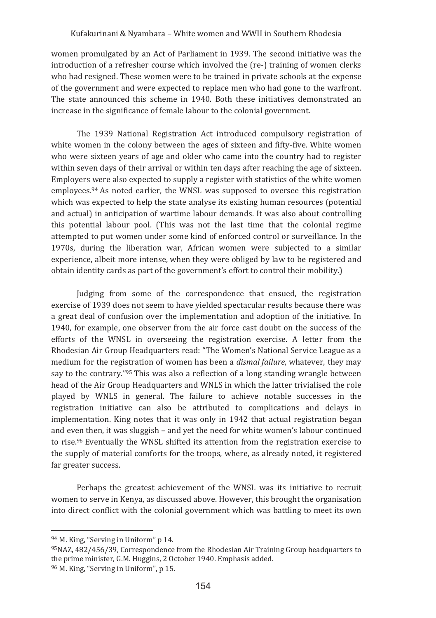women promulgated by an Act of Parliament in 1939. The second initiative was the introduction of a refresher course which involved the (re-) training of women clerks who had resigned. These women were to be trained in private schools at the expense of the government and were expected to replace men who had gone to the warfront. The state announced this scheme in 1940. Both these initiatives demonstrated an increase in the significance of female labour to the colonial government.

The 1939 National Registration Act introduced compulsory registration of white women in the colony between the ages of sixteen and fifty-five. White women who were sixteen years of age and older who came into the country had to register within seven days of their arrival or within ten days after reaching the age of sixteen. Employers were also expected to supply a register with statistics of the white women employees.<sup>94</sup> As noted earlier, the WNSL was supposed to oversee this registration which was expected to help the state analyse its existing human resources (potential and actual) in anticipation of wartime labour demands. It was also about controlling this potential labour pool. (This was not the last time that the colonial regime attempted to put women under some kind of enforced control or surveillance. In the 1970s, during the liberation war, African women were subjected to a similar experience, albeit more intense, when they were obliged by law to be registered and obtain identity cards as part of the government's effort to control their mobility.)

Judging from some of the correspondence that ensued, the registration exercise of 1939 does not seem to have vielded spectacular results because there was a great deal of confusion over the implementation and adoption of the initiative. In 1940, for example, one observer from the air force cast doubt on the success of the efforts of the WNSL in overseeing the registration exercise. A letter from the Rhodesian Air Group Headquarters read: "The Women's National Service League as a medium for the registration of women has been a *dismal failure*, whatever, they may say to the contrary."<sup>95</sup> This was also a reflection of a long standing wrangle between head of the Air Group Headquarters and WNLS in which the latter trivialised the role played by WNLS in general. The failure to achieve notable successes in the registration initiative can also be attributed to complications and delays in implementation. King notes that it was only in 1942 that actual registration began and even then, it was sluggish - and yet the need for white women's labour continued to rise.<sup>96</sup> Eventually the WNSL shifted its attention from the registration exercise to the supply of material comforts for the troops, where, as already noted, it registered far greater success.

Perhaps the greatest achievement of the WNSL was its initiative to recruit women to serve in Kenya, as discussed above. However, this brought the organisation into direct conflict with the colonial government which was battling to meet its own

<sup>94</sup> M. King, "Serving in Uniform" p 14.

 $95NAZ.$  482/456/39. Correspondence from the Rhodesian Air Training Group headquarters to the prime minister, G.M. Huggins, 2 October 1940. Emphasis added.

<sup>&</sup>lt;sup>96</sup> M. King, "Serving in Uniform", p 15.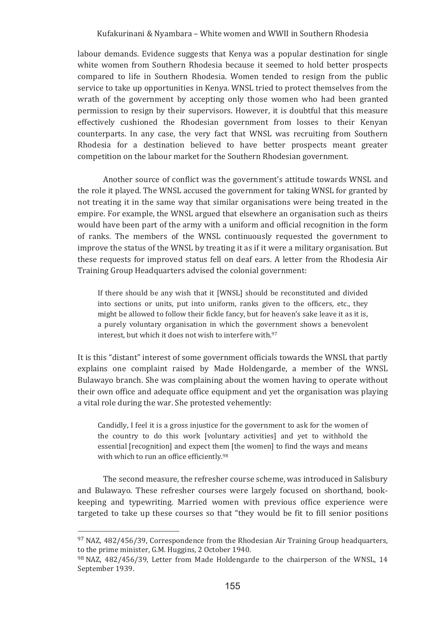labour demands. Evidence suggests that Kenya was a popular destination for single white women from Southern Rhodesia because it seemed to hold better prospects compared to life in Southern Rhodesia. Women tended to resign from the public service to take up opportunities in Kenya. WNSL tried to protect themselves from the wrath of the government by accepting only those women who had been granted permission to resign by their supervisors. However, it is doubtful that this measure effectively cushioned the Rhodesian government from losses to their Kenyan counterparts. In any case, the very fact that WNSL was recruiting from Southern Rhodesia for a destination believed to have better prospects meant greater competition on the labour market for the Southern Rhodesian government.

Another source of conflict was the government's attitude towards WNSL and the role it played. The WNSL accused the government for taking WNSL for granted by not treating it in the same way that similar organisations were being treated in the empire. For example, the WNSL argued that elsewhere an organisation such as theirs would have been part of the army with a uniform and official recognition in the form of ranks. The members of the WNSL continuously requested the government to improve the status of the WNSL by treating it as if it were a military organisation. But these requests for improved status fell on deaf ears. A letter from the Rhodesia Air Training Group Headquarters advised the colonial government:

If there should be any wish that it [WNSL] should be reconstituted and divided into sections or units, put into uniform, ranks given to the officers, etc., they might be allowed to follow their fickle fancy, but for heaven's sake leave it as it is, a purely voluntary organisation in which the government shows a benevolent interest, but which it does not wish to interfere with.97

It is this "distant" interest of some government officials towards the WNSL that partly explains one complaint raised by Made Holdengarde, a member of the WNSL Bulawayo branch. She was complaining about the women having to operate without their own office and adequate office equipment and yet the organisation was playing a vital role during the war. She protested vehemently:

Candidly, I feel it is a gross injustice for the government to ask for the women of the country to do this work [voluntary activities] and yet to withhold the essential [recognition] and expect them [the women] to find the ways and means with which to run an office efficiently.98

The second measure, the refresher course scheme, was introduced in Salisbury and Bulawayo. These refresher courses were largely focused on shorthand, bookkeeping and typewriting. Married women with previous office experience were targeted to take up these courses so that "they would be fit to fill senior positions"

<sup>97</sup> NAZ, 482/456/39, Correspondence from the Rhodesian Air Training Group headquarters, to the prime minister, G.M. Huggins, 2 October 1940.

<sup>98</sup> NAZ, 482/456/39, Letter from Made Holdengarde to the chairperson of the WNSL, 14 September 1939.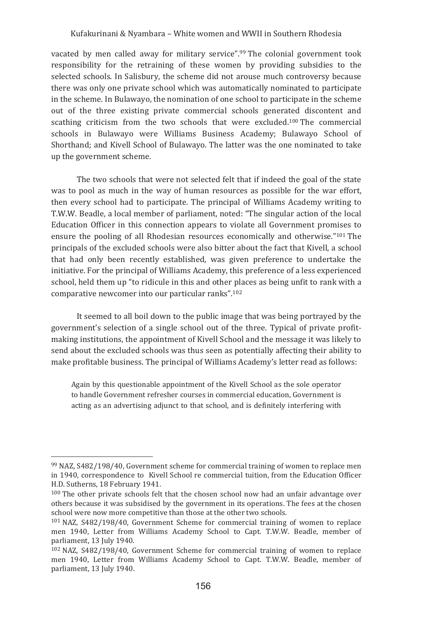vacated by men called away for military service".<sup>99</sup> The colonial government took responsibility for the retraining of these women by providing subsidies to the selected schools. In Salisbury, the scheme did not arouse much controversy because there was only one private school which was automatically nominated to participate in the scheme. In Bulawayo, the nomination of one school to participate in the scheme out of the three existing private commercial schools generated discontent and scathing criticism from the two schools that were excluded.<sup>100</sup> The commercial schools in Bulawayo were Williams Business Academy: Bulawayo School of Shorthand; and Kivell School of Bulawayo. The latter was the one nominated to take up the government scheme.

The two schools that were not selected felt that if indeed the goal of the state was to pool as much in the way of human resources as possible for the war effort, then every school had to participate. The principal of Williams Academy writing to T.W.W. Beadle, a local member of parliament, noted: "The singular action of the local Education Officer in this connection appears to violate all Government promises to ensure the pooling of all Rhodesian resources economically and otherwise."<sup>101</sup> The principals of the excluded schools were also bitter about the fact that Kivell, a school that had only been recently established, was given preference to undertake the initiative. For the principal of Williams Academy, this preference of a less experienced school, held them up "to ridicule in this and other places as being unfit to rank with a comparative newcomer into our particular ranks".<sup>102</sup>

It seemed to all boil down to the public image that was being portrayed by the government's selection of a single school out of the three. Typical of private profitmaking institutions, the appointment of Kivell School and the message it was likely to send about the excluded schools was thus seen as potentially affecting their ability to make profitable business. The principal of Williams Academy's letter read as follows:

Again by this questionable appointment of the Kivell School as the sole operator to handle Government refresher courses in commercial education, Government is acting as an advertising adjunct to that school, and is definitely interfering with

<sup>99</sup> NAZ, S482/198/40, Government scheme for commercial training of women to replace men in 1940, correspondence to Kivell School re commercial tuition, from the Education Officer H.D. Sutherns, 18 February 1941.

<sup>100</sup> The other private schools felt that the chosen school now had an unfair advantage over others because it was subsidised by the government in its operations. The fees at the chosen school were now more competitive than those at the other two schools.

 $101$  NAZ, S482/198/40. Government Scheme for commercial training of women to replace men 1940, Letter from Williams Academy School to Capt. T.W.W. Beadle, member of parliament, 13 July 1940.

<sup>&</sup>lt;sup>102</sup> NAZ, S482/198/40, Government Scheme for commercial training of women to replace men 1940. Letter from Williams Academy School to Capt. T.W.W. Beadle, member of parliament, 13 July 1940.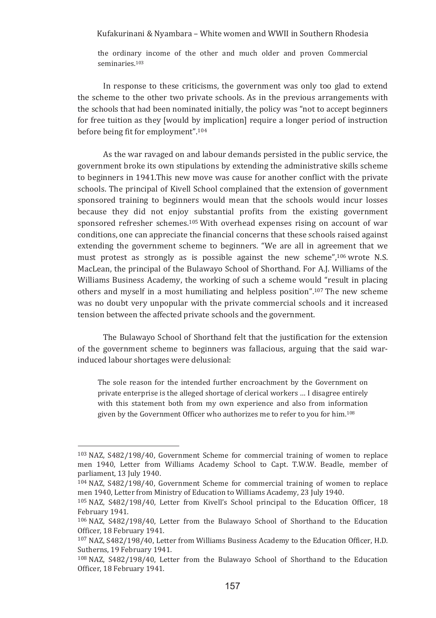the ordinary income of the other and much older and proven Commercial seminaries.<sup>103</sup>

In response to these criticisms, the government was only too glad to extend the scheme to the other two private schools. As in the previous arrangements with the schools that had been nominated initially, the policy was "not to accept beginners" for free tuition as they [would by implication] require a longer period of instruction before being fit for employment".<sup>104</sup>

As the war ravaged on and labour demands persisted in the public service, the government broke its own stipulations by extending the administrative skills scheme to beginners in 1941. This new move was cause for another conflict with the private schools. The principal of Kivell School complained that the extension of government sponsored training to beginners would mean that the schools would incur losses because they did not enjoy substantial profits from the existing government sponsored refresher schemes.<sup>105</sup> With overhead expenses rising on account of war conditions, one can appreciate the financial concerns that these schools raised against extending the government scheme to beginners. "We are all in agreement that we must protest as strongly as is possible against the new scheme", 106 wrote N.S. MacLean, the principal of the Bulawayo School of Shorthand. For A.J. Williams of the Williams Business Academy, the working of such a scheme would "result in placing others and myself in a most humiliating and helpless position".<sup>107</sup> The new scheme was no doubt very unpopular with the private commercial schools and it increased tension between the affected private schools and the government.

The Bulawayo School of Shorthand felt that the justification for the extension of the government scheme to beginners was fallacious, arguing that the said warinduced labour shortages were delusional:

The sole reason for the intended further encroachment by the Government on private enterprise is the alleged shortage of clerical workers ... I disagree entirely with this statement both from my own experience and also from information given by the Government Officer who authorizes me to refer to you for him.<sup>108</sup>

<sup>&</sup>lt;sup>103</sup> NAZ, S482/198/40. Government Scheme for commercial training of women to replace men 1940, Letter from Williams Academy School to Capt. T.W.W. Beadle, member of parliament. 13 July 1940.

 $104$  NAZ, S482/198/40, Government Scheme for commercial training of women to replace men 1940, Letter from Ministry of Education to Williams Academy, 23 July 1940.

<sup>105</sup> NAZ, S482/198/40, Letter from Kivell's School principal to the Education Officer, 18 February 1941.

<sup>106</sup> NAZ, S482/198/40, Letter from the Bulawayo School of Shorthand to the Education Officer, 18 February 1941.

<sup>&</sup>lt;sup>107</sup> NAZ, S482/198/40, Letter from Williams Business Academy to the Education Officer, H.D. Sutherns, 19 February 1941.

 $108$  NAZ, S482/198/40, Letter from the Bulawayo School of Shorthand to the Education Officer, 18 February 1941.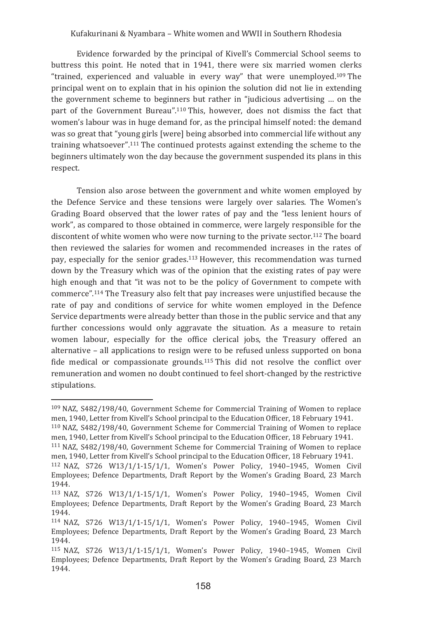Evidence forwarded by the principal of Kivell's Commercial School seems to buttress this point. He noted that in 1941, there were six married women clerks "trained, experienced and valuable in every way" that were unemployed.<sup>109</sup> The principal went on to explain that in his opinion the solution did not lie in extending the government scheme to beginners but rather in "iudicious advertising ... on the part of the Government Bureau".<sup>110</sup> This, however, does not dismiss the fact that women's labour was in huge demand for, as the principal himself noted: the demand was so great that "young girls [were] being absorbed into commercial life without any training whatsoever".<sup>111</sup> The continued protests against extending the scheme to the beginners ultimately won the day because the government suspended its plans in this respect.

Tension also arose between the government and white women employed by the Defence Service and these tensions were largely over salaries. The Women's Grading Board observed that the lower rates of pay and the "less lenient hours of work", as compared to those obtained in commerce, were largely responsible for the discontent of white women who were now turning to the private sector.<sup>112</sup> The board then reviewed the salaries for women and recommended increases in the rates of pay, especially for the senior grades.<sup>113</sup> However, this recommendation was turned down by the Treasury which was of the opinion that the existing rates of pay were high enough and that "it was not to be the policy of Government to compete with commerce".<sup>114</sup> The Treasury also felt that pay increases were unjustified because the rate of pay and conditions of service for white women employed in the Defence Service departments were already better than those in the public service and that any further concessions would only aggravate the situation. As a measure to retain women labour, especially for the office clerical jobs, the Treasury offered an alternative - all applications to resign were to be refused unless supported on bona fide medical or compassionate grounds.<sup>115</sup> This did not resolve the conflict over remuneration and women no doubt continued to feel short-changed by the restrictive stipulations.

<sup>109</sup> NAZ, S482/198/40, Government Scheme for Commercial Training of Women to replace men, 1940, Letter from Kivell's School principal to the Education Officer, 18 February 1941.

<sup>&</sup>lt;sup>110</sup> NAZ, S482/198/40, Government Scheme for Commercial Training of Women to replace men, 1940, Letter from Kivell's School principal to the Education Officer, 18 February 1941.

<sup>&</sup>lt;sup>111</sup> NAZ, S482/198/40, Government Scheme for Commercial Training of Women to replace men. 1940. Letter from Kivell's School principal to the Education Officer. 18 February 1941.

<sup>112</sup> NAZ, S726 W13/1/1-15/1/1, Women's Power Policy, 1940-1945, Women Civil Employees; Defence Departments, Draft Report by the Women's Grading Board, 23 March 1944.

<sup>113</sup> NAZ, S726 W13/1/1-15/1/1, Women's Power Policy, 1940-1945, Women Civil Employees; Defence Departments, Draft Report by the Women's Grading Board, 23 March 1944.

<sup>114</sup> NAZ, S726 W13/1/1-15/1/1. Women's Power Policy, 1940-1945. Women Civil Employees; Defence Departments, Draft Report by the Women's Grading Board, 23 March 1944.

<sup>115</sup> NAZ, S726 W13/1/1-15/1/1, Women's Power Policy, 1940-1945, Women Civil Employees: Defence Departments. Draft Report by the Women's Grading Board. 23 March 1944.